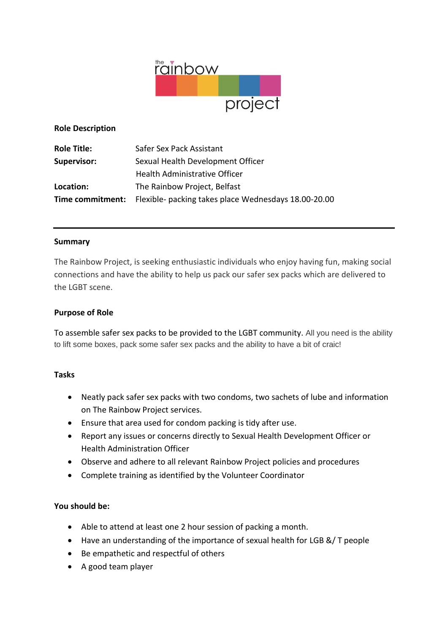

### **Role Description**

| <b>Role Title:</b> | Safer Sex Pack Assistant                                                     |
|--------------------|------------------------------------------------------------------------------|
| <b>Supervisor:</b> | Sexual Health Development Officer                                            |
|                    | Health Administrative Officer                                                |
| Location:          | The Rainbow Project, Belfast                                                 |
|                    | <b>Time commitment:</b> Flexible- packing takes place Wednesdays 18.00-20.00 |

### **Summary**

The Rainbow Project, is seeking enthusiastic individuals who enjoy having fun, making social connections and have the ability to help us pack our safer sex packs which are delivered to the LGBT scene.

### **Purpose of Role**

To assemble safer sex packs to be provided to the LGBT community. All you need is the ability to lift some boxes, pack some safer sex packs and the ability to have a bit of craic!

## **Tasks**

- Neatly pack safer sex packs with two condoms, two sachets of lube and information on The Rainbow Project services.
- Ensure that area used for condom packing is tidy after use.
- Report any issues or concerns directly to Sexual Health Development Officer or Health Administration Officer
- Observe and adhere to all relevant Rainbow Project policies and procedures
- Complete training as identified by the Volunteer Coordinator

### **You should be:**

- Able to attend at least one 2 hour session of packing a month.
- Have an understanding of the importance of sexual health for LGB &/ T people
- Be empathetic and respectful of others
- A good team player